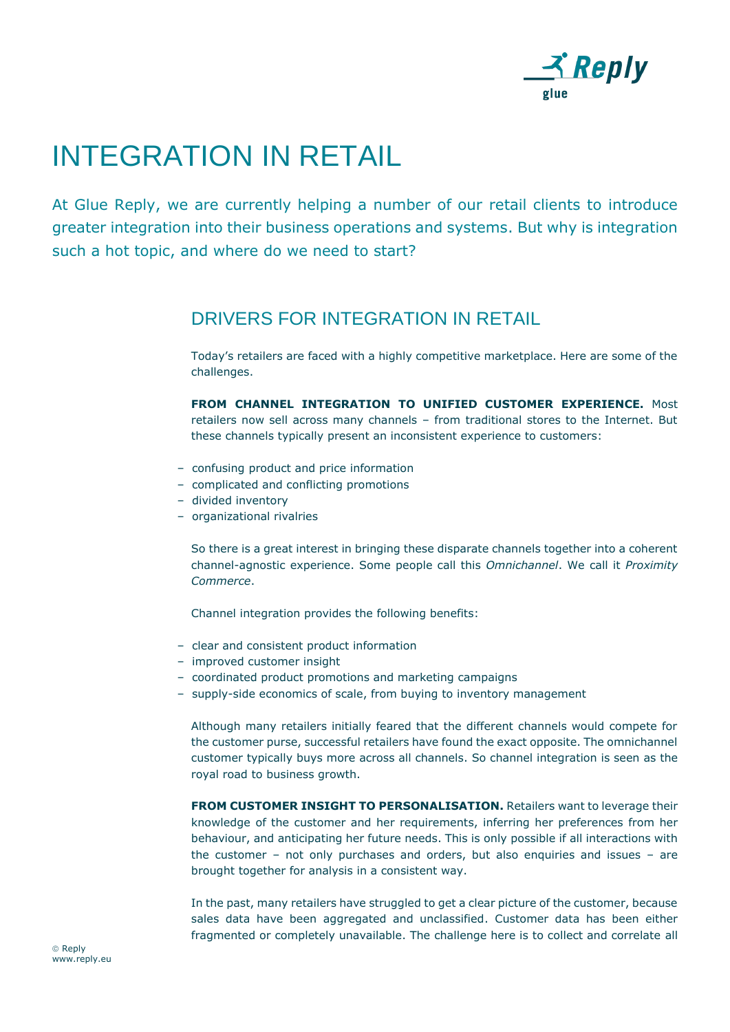

## INTEGRATION IN RETAIL

At Glue Reply, we are currently helping a number of our retail clients to introduce greater integration into their business operations and systems. But why is integration such a hot topic, and where do we need to start?

## DRIVERS FOR INTEGRATION IN RETAIL

Today's retailers are faced with a highly competitive marketplace. Here are some of the challenges.

**FROM CHANNEL INTEGRATION TO UNIFIED CUSTOMER EXPERIENCE.** Most retailers now sell across many channels – from traditional stores to the Internet. But these channels typically present an inconsistent experience to customers:

- confusing product and price information
- complicated and conflicting promotions
- divided inventory
- organizational rivalries

So there is a great interest in bringing these disparate channels together into a coherent channel-agnostic experience. Some people call this *Omnichannel*. We call it *Proximity Commerce*.

Channel integration provides the following benefits:

- clear and consistent product information
- improved customer insight
- coordinated product promotions and marketing campaigns
- supply-side economics of scale, from buying to inventory management

Although many retailers initially feared that the different channels would compete for the customer purse, successful retailers have found the exact opposite. The omnichannel customer typically buys more across all channels. So channel integration is seen as the royal road to business growth.

**FROM CUSTOMER INSIGHT TO PERSONALISATION.** Retailers want to leverage their knowledge of the customer and her requirements, inferring her preferences from her behaviour, and anticipating her future needs. This is only possible if all interactions with the customer – not only purchases and orders, but also enquiries and issues – are brought together for analysis in a consistent way.

In the past, many retailers have struggled to get a clear picture of the customer, because sales data have been aggregated and unclassified. Customer data has been either fragmented or completely unavailable. The challenge here is to collect and correlate all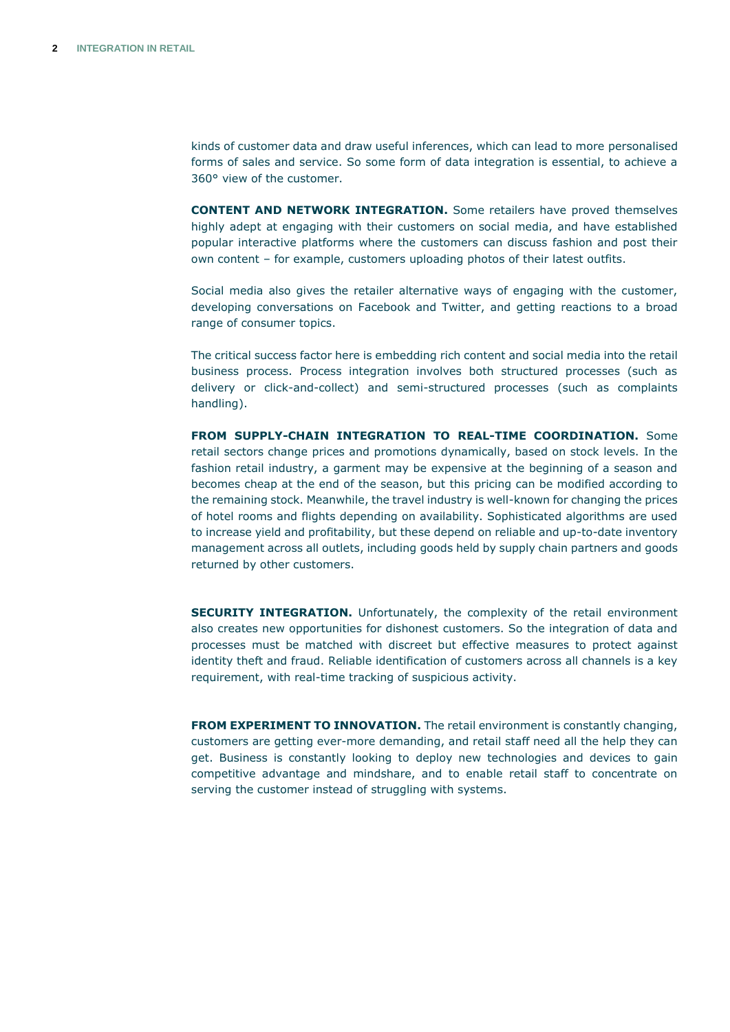kinds of customer data and draw useful inferences, which can lead to more personalised forms of sales and service. So some form of data integration is essential, to achieve a 360° view of the customer.

**CONTENT AND NETWORK INTEGRATION.** Some retailers have proved themselves highly adept at engaging with their customers on social media, and have established popular interactive platforms where the customers can discuss fashion and post their own content – for example, customers uploading photos of their latest outfits.

Social media also gives the retailer alternative ways of engaging with the customer, developing conversations on Facebook and Twitter, and getting reactions to a broad range of consumer topics.

The critical success factor here is embedding rich content and social media into the retail business process. Process integration involves both structured processes (such as delivery or click-and-collect) and semi-structured processes (such as complaints handling).

**FROM SUPPLY-CHAIN INTEGRATION TO REAL-TIME COORDINATION.** Some retail sectors change prices and promotions dynamically, based on stock levels. In the fashion retail industry, a garment may be expensive at the beginning of a season and becomes cheap at the end of the season, but this pricing can be modified according to the remaining stock. Meanwhile, the travel industry is well-known for changing the prices of hotel rooms and flights depending on availability. Sophisticated algorithms are used to increase yield and profitability, but these depend on reliable and up-to-date inventory management across all outlets, including goods held by supply chain partners and goods returned by other customers.

**SECURITY INTEGRATION.** Unfortunately, the complexity of the retail environment also creates new opportunities for dishonest customers. So the integration of data and processes must be matched with discreet but effective measures to protect against identity theft and fraud. Reliable identification of customers across all channels is a key requirement, with real-time tracking of suspicious activity.

**FROM EXPERIMENT TO INNOVATION.** The retail environment is constantly changing, customers are getting ever-more demanding, and retail staff need all the help they can get. Business is constantly looking to deploy new technologies and devices to gain competitive advantage and mindshare, and to enable retail staff to concentrate on serving the customer instead of struggling with systems.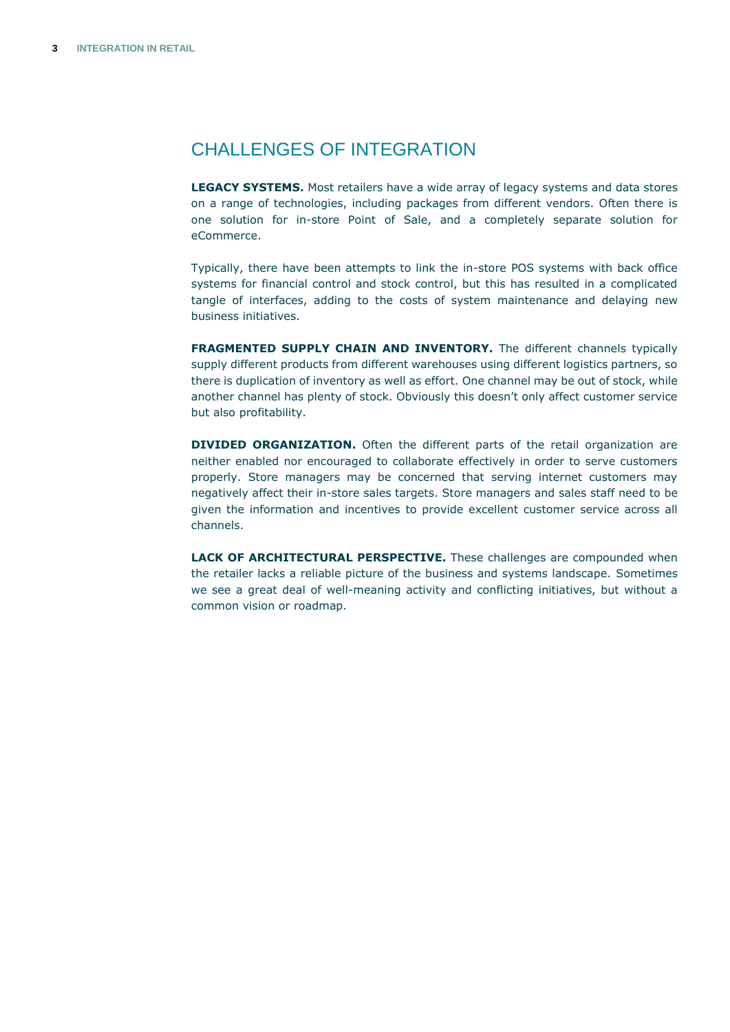## CHALLENGES OF INTEGRATION

**LEGACY SYSTEMS.** Most retailers have a wide array of legacy systems and data stores on a range of technologies, including packages from different vendors. Often there is one solution for in-store Point of Sale, and a completely separate solution for eCommerce.

Typically, there have been attempts to link the in-store POS systems with back office systems for financial control and stock control, but this has resulted in a complicated tangle of interfaces, adding to the costs of system maintenance and delaying new business initiatives.

**FRAGMENTED SUPPLY CHAIN AND INVENTORY.** The different channels typically supply different products from different warehouses using different logistics partners, so there is duplication of inventory as well as effort. One channel may be out of stock, while another channel has plenty of stock. Obviously this doesn't only affect customer service but also profitability.

**DIVIDED ORGANIZATION.** Often the different parts of the retail organization are neither enabled nor encouraged to collaborate effectively in order to serve customers properly. Store managers may be concerned that serving internet customers may negatively affect their in-store sales targets. Store managers and sales staff need to be given the information and incentives to provide excellent customer service across all channels.

**LACK OF ARCHITECTURAL PERSPECTIVE.** These challenges are compounded when the retailer lacks a reliable picture of the business and systems landscape. Sometimes we see a great deal of well-meaning activity and conflicting initiatives, but without a common vision or roadmap.